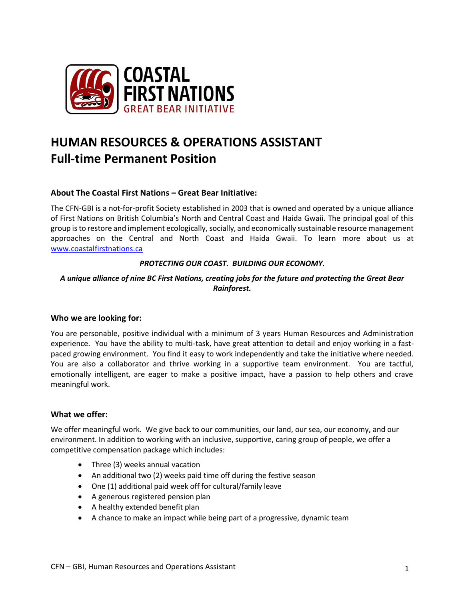

# **HUMAN RESOURCES & OPERATIONS ASSISTANT Full-time Permanent Position**

# **About The Coastal First Nations – Great Bear Initiative:**

The CFN-GBI is a not-for-profit Society established in 2003 that is owned and operated by a unique alliance of First Nations on British Columbia's North and Central Coast and Haida Gwaii. The principal goal of this group is to restore and implement ecologically, socially, and economically sustainable resource management approaches on the Central and North Coast and Haida Gwaii. To learn more about us at [www.coastalfirstnations.ca](http://www.coastalfirstnations.ca/)

## *PROTECTING OUR COAST. BUILDING OUR ECONOMY.*

# *A unique alliance of nine BC First Nations, creating jobs for the future and protecting the Great Bear Rainforest.*

## **Who we are looking for:**

You are personable, positive individual with a minimum of 3 years Human Resources and Administration experience. You have the ability to multi-task, have great attention to detail and enjoy working in a fastpaced growing environment. You find it easy to work independently and take the initiative where needed. You are also a collaborator and thrive working in a supportive team environment. You are tactful, emotionally intelligent, are eager to make a positive impact, have a passion to help others and crave meaningful work.

# **What we offer:**

We offer meaningful work. We give back to our communities, our land, our sea, our economy, and our environment. In addition to working with an inclusive, supportive, caring group of people, we offer a competitive compensation package which includes:

- Three (3) weeks annual vacation
- An additional two (2) weeks paid time off during the festive season
- One (1) additional paid week off for cultural/family leave
- A generous registered pension plan
- A healthy extended benefit plan
- A chance to make an impact while being part of a progressive, dynamic team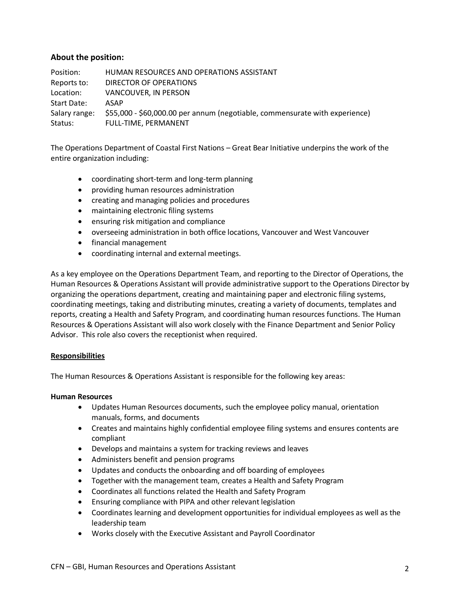## **About the position:**

Position: HUMAN RESOURCES AND OPERATIONS ASSISTANT Reports to: DIRECTOR OF OPERATIONS Location: VANCOUVER, IN PERSON Start Date: ASAP Salary range: \$55,000 - \$60,000.00 per annum (negotiable, commensurate with experience) Status: FULL-TIME, PERMANENT

The Operations Department of Coastal First Nations – Great Bear Initiative underpins the work of the entire organization including:

- coordinating short-term and long-term planning
- providing human resources administration
- creating and managing policies and procedures
- maintaining electronic filing systems
- ensuring risk mitigation and compliance
- overseeing administration in both office locations, Vancouver and West Vancouver
- financial management
- coordinating internal and external meetings.

As a key employee on the Operations Department Team, and reporting to the Director of Operations, the Human Resources & Operations Assistant will provide administrative support to the Operations Director by organizing the operations department, creating and maintaining paper and electronic filing systems, coordinating meetings, taking and distributing minutes, creating a variety of documents, templates and reports, creating a Health and Safety Program, and coordinating human resources functions. The Human Resources & Operations Assistant will also work closely with the Finance Department and Senior Policy Advisor. This role also covers the receptionist when required.

## **Responsibilities**

The Human Resources & Operations Assistant is responsible for the following key areas:

## **Human Resources**

- Updates Human Resources documents, such the employee policy manual, orientation manuals, forms, and documents
- Creates and maintains highly confidential employee filing systems and ensures contents are compliant
- Develops and maintains a system for tracking reviews and leaves
- Administers benefit and pension programs
- Updates and conducts the onboarding and off boarding of employees
- Together with the management team, creates a Health and Safety Program
- Coordinates all functions related the Health and Safety Program
- Ensuring compliance with PIPA and other relevant legislation
- Coordinates learning and development opportunities for individual employees as well as the leadership team
- Works closely with the Executive Assistant and Payroll Coordinator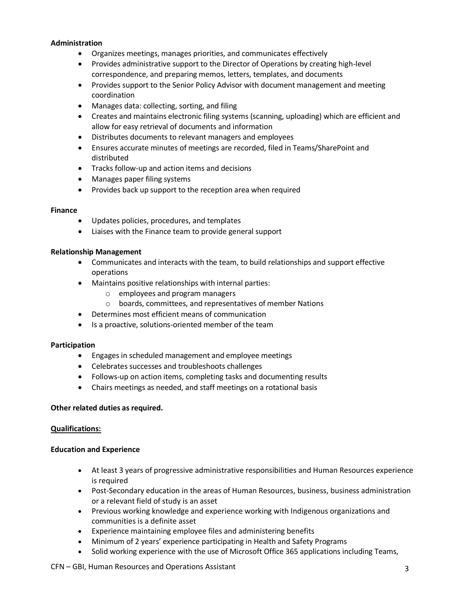#### **Administration**

- Organizes meetings, manages priorities, and communicates effectively
- Provides administrative support to the Director of Operations by creating high-level correspondence, and preparing memos, letters, templates, and documents
- Provides support to the Senior Policy Advisor with document management and meeting coordination
- Manages data: collecting, sorting, and filing
- Creates and maintains electronic filing systems (scanning, uploading) which are efficient and allow for easy retrieval of documents and information
- Distributes documents to relevant managers and employees
- Ensures accurate minutes of meetings are recorded, filed in Teams/SharePoint and distributed
- Tracks follow-up and action items and decisions
- Manages paper filing systems
- Provides back up support to the reception area when required

## **Finance**

- Updates policies, procedures, and templates
- Liaises with the Finance team to provide general support

#### **Relationship Management**

- Communicates and interacts with the team, to build relationships and support effective operations
- Maintains positive relationships with internal parties:
	- o employees and program managers
	- o boards, committees, and representatives of member Nations
- Determines most efficient means of communication
- Is a proactive, solutions-oriented member of the team

## **Participation**

- Engages in scheduled management and employee meetings
- Celebrates successes and troubleshoots challenges
- Follows-up on action items, completing tasks and documenting results
- Chairs meetings as needed, and staff meetings on a rotational basis

#### **Other related duties as required.**

## **Qualifications:**

#### **Education and Experience**

- At least 3 years of progressive administrative responsibilities and Human Resources experience is required
- Post-Secondary education in the areas of Human Resources, business, business administration or a relevant field of study is an asset
- Previous working knowledge and experience working with Indigenous organizations and communities is a definite asset
- Experience maintaining employee files and administering benefits
- Minimum of 2 years' experience participating in Health and Safety Programs
- Solid working experience with the use of Microsoft Office 365 applications including Teams,

#### CFN – GBI, Human Resources and Operations Assistant 33